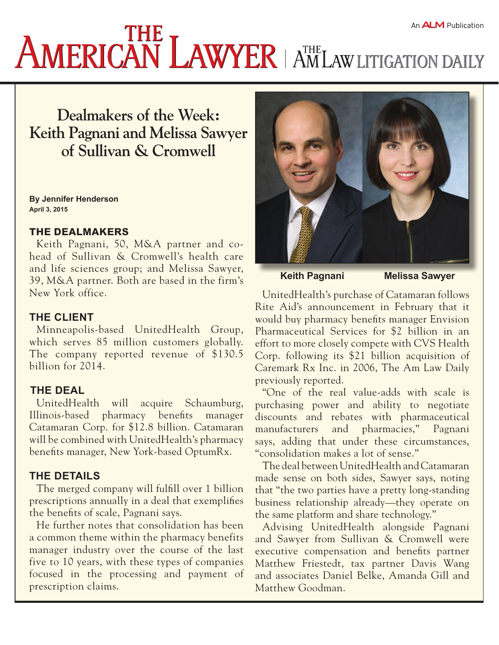# **AMERICAN LAWYER** AMERICANT AND ALAW LITIGATION DAILY

## **Dealmakers of the Week: Keith Pagnani and Melissa Sawyer of Sullivan & Cromwell**

**By Jennifer Henderson April 3, 2015**

#### THE DEALMAKERS

Keith Pagnani, 50, M&A partner and cohead of Sullivan & Cromwell's health care and life sciences group; and Melissa Sawyer, 39, M&A partner. Both are based in the firm's New York office.

#### **THE CLIENT**

Minneapolis-based UnitedHealth Group, which serves 85 million customers globally. The company reported revenue of \$130.5 billion for 2014.

#### **THE DEAL**

UnitedHealth will acquire Schaumburg, Illinois-based pharmacy benefits manager Catamaran Corp. for \$12.8 billion. Catamaran will be combined with UnitedHealth's pharmacy benefits manager, New York-based OptumRx.

#### **THE DETAILS**

The merged company will fulfill over 1 billion prescriptions annually in a deal that exemplifies the benefits of scale, Pagnani says.

He further notes that consolidation has been a common theme within the pharmacy benefits manager industry over the course of the last five to 10 years, with these types of companies focused in the processing and payment of prescription claims.



**Keith Pagnani Melissa Sawyer**

UnitedHealth's purchase of Catamaran follows Rite Aid's announcement in February that it would buy pharmacy benefits manager Envision Pharmaceutical Services for \$2 billion in an effort to more closely compete with CVS Health Corp. following its \$21 billion acquisition of Caremark Rx Inc. in 2006, The Am Law Daily previously reported.

"One of the real value-adds with scale is purchasing power and ability to negotiate discounts and rebates with pharmaceutical manufacturers and pharmacies," Pagnani says, adding that under these circumstances, "consolidation makes a lot of sense."

The deal between UnitedHealth and Catamaran made sense on both sides, Sawyer says, noting that "the two parties have a pretty long-standing business relationship already—they operate on the same platform and share technology."

Advising UnitedHealth alongside Pagnani and Sawyer from Sullivan & Cromwell were executive compensation and benefits partner Matthew Friestedt, tax partner Davis Wang and associates Daniel Belke, Amanda Gill and Matthew Goodman.